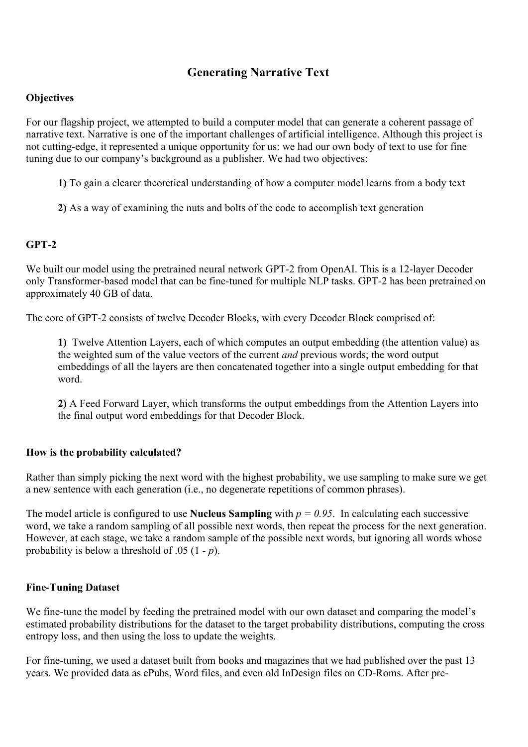# **Generating Narrative Text**

### **Objectives**

For our flagship project, we attempted to build a computer model that can generate a coherent passage of narrative text. Narrative is one of the important challenges of artificial intelligence. Although this project is not cutting-edge, it represented a unique opportunity for us: we had our own body of text to use for fine tuning due to our company's background as a publisher. We had two objectives:

- **1)** To gain a clearer theoretical understanding of how a computer model learns from a body text
- **2)** As a way of examining the nuts and bolts of the code to accomplish text generation

### **GPT-2**

We built our model using the pretrained neural network GPT-2 from OpenAI. This is a 12-layer Decoder only Transformer-based model that can be fine-tuned for multiple NLP tasks. GPT-2 has been pretrained on approximately 40 GB of data.

The core of GPT-2 consists of twelve Decoder Blocks, with every Decoder Block comprised of:

**1)** Twelve Attention Layers, each of which computes an output embedding (the attention value) as the weighted sum of the value vectors of the current *and* previous words; the word output embeddings of all the layers are then concatenated together into a single output embedding for that word.

**2)** A Feed Forward Layer, which transforms the output embeddings from the Attention Layers into the final output word embeddings for that Decoder Block.

### **How is the probability calculated?**

Rather than simply picking the next word with the highest probability, we use sampling to make sure we get a new sentence with each generation (i.e., no degenerate repetitions of common phrases).

The model article is configured to use **Nucleus Sampling** with  $p = 0.95$ . In calculating each successive word, we take a random sampling of all possible next words, then repeat the process for the next generation. However, at each stage, we take a random sample of the possible next words, but ignoring all words whose probability is below a threshold of .05 (1 - *p*).

### **Fine-Tuning Dataset**

We fine-tune the model by feeding the pretrained model with our own dataset and comparing the model's estimated probability distributions for the dataset to the target probability distributions, computing the cross entropy loss, and then using the loss to update the weights.

For fine-tuning, we used a dataset built from books and magazines that we had published over the past 13 years. We provided data as ePubs, Word files, and even old InDesign files on CD-Roms. After pre-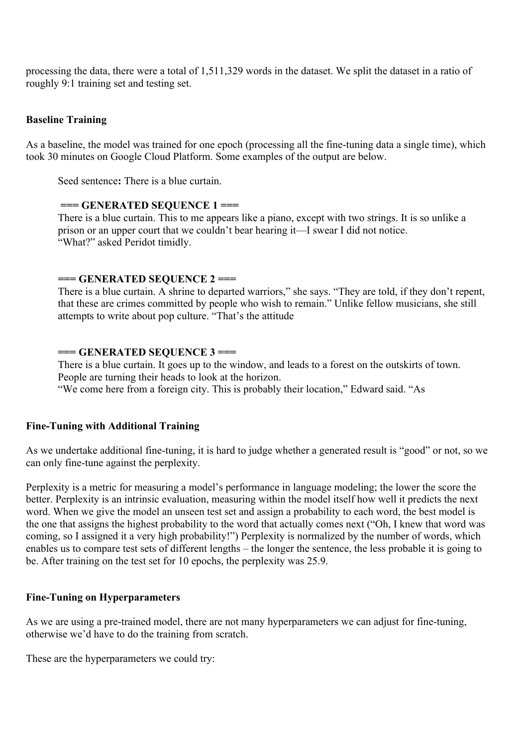processing the data, there were a total of 1,511,329 words in the dataset. We split the dataset in a ratio of roughly 9:1 training set and testing set.

#### **Baseline Training**

As a baseline, the model was trained for one epoch (processing all the fine-tuning data a single time), which took 30 minutes on Google Cloud Platform. Some examples of the output are below.

Seed sentence**:** There is a blue curtain.

#### **=== GENERATED SEQUENCE 1 ===**

There is a blue curtain. This to me appears like a piano, except with two strings. It is so unlike a prison or an upper court that we couldn't bear hearing it—I swear I did not notice. "What?" asked Peridot timidly.

#### **=== GENERATED SEQUENCE 2 ===**

There is a blue curtain. A shrine to departed warriors," she says. "They are told, if they don't repent, that these are crimes committed by people who wish to remain." Unlike fellow musicians, she still attempts to write about pop culture. "That's the attitude

#### **=== GENERATED SEQUENCE 3 ===**

There is a blue curtain. It goes up to the window, and leads to a forest on the outskirts of town. People are turning their heads to look at the horizon.

"We come here from a foreign city. This is probably their location," Edward said. "As

#### **Fine-Tuning with Additional Training**

As we undertake additional fine-tuning, it is hard to judge whether a generated result is "good" or not, so we can only fine-tune against the perplexity.

Perplexity is a metric for measuring a model's performance in language modeling; the lower the score the better. Perplexity is an intrinsic evaluation, measuring within the model itself how well it predicts the next word. When we give the model an unseen test set and assign a probability to each word, the best model is the one that assigns the highest probability to the word that actually comes next ("Oh, I knew that word was coming, so I assigned it a very high probability!") Perplexity is normalized by the number of words, which enables us to compare test sets of different lengths – the longer the sentence, the less probable it is going to be. After training on the test set for 10 epochs, the perplexity was 25.9.

#### **Fine-Tuning on Hyperparameters**

As we are using a pre-trained model, there are not many hyperparameters we can adjust for fine-tuning, otherwise we'd have to do the training from scratch.

These are the hyperparameters we could try: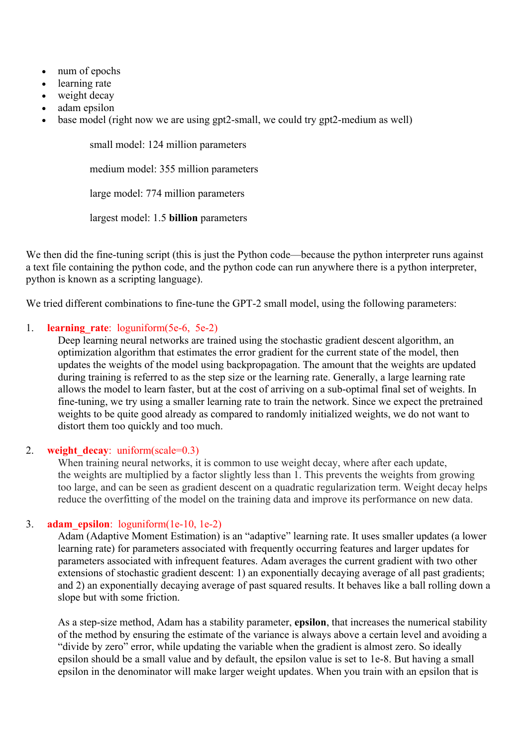- num of epochs
- learning rate
- weight decay
- adam epsilon
- base model (right now we are using gpt2-small, we could try gpt2-medium as well)

small model: 124 million parameters medium model: 355 million parameters large model: 774 million parameters largest model: 1.5 **billion** parameters

We then did the fine-tuning script (this is just the Python code—because the python interpreter runs against a text file containing the python code, and the python code can run anywhere there is a python interpreter, python is known as a scripting language).

We tried different combinations to fine-tune the GPT-2 small model, using the following parameters:

### 1. **learning\_rate**: loguniform(5e-6, 5e-2)

Deep learning neural networks are trained using the stochastic gradient descent algorithm, an optimization algorithm that estimates the error gradient for the current state of the model, then updates the weights of the model using backpropagation. The amount that the weights are updated during training is referred to as the step size or the learning rate. Generally, a large learning rate allows the model to learn faster, but at the cost of arriving on a sub-optimal final set of weights. In fine-tuning, we try using a smaller learning rate to train the network. Since we expect the pretrained weights to be quite good already as compared to randomly initialized weights, we do not want to distort them too quickly and too much.

#### 2. **weight decay**: uniform(scale=0.3)

When training neural networks, it is common to use weight decay, where after each update, the weights are multiplied by a factor slightly less than 1. This prevents the weights from growing too large, and can be seen as gradient descent on a quadratic regularization term. Weight decay helps reduce the overfitting of the model on the training data and improve its performance on new data.

#### 3. **adam\_epsilon**: loguniform(1e-10, 1e-2)

Adam (Adaptive Moment Estimation) is an "adaptive" learning rate. It uses smaller updates (a lower learning rate) for parameters associated with frequently occurring features and larger updates for parameters associated with infrequent features. Adam averages the current gradient with two other extensions of stochastic gradient descent: 1) an exponentially decaying average of all past gradients; and 2) an exponentially decaying average of past squared results. It behaves like a ball rolling down a slope but with some friction.

As a step-size method, Adam has a stability parameter, **epsilon**, that increases the numerical stability of the method by ensuring the estimate of the variance is always above a certain level and avoiding a "divide by zero" error, while updating the variable when the gradient is almost zero. So ideally epsilon should be a small value and by default, the epsilon value is set to 1e-8. But having a small epsilon in the denominator will make larger weight updates. When you train with an epsilon that is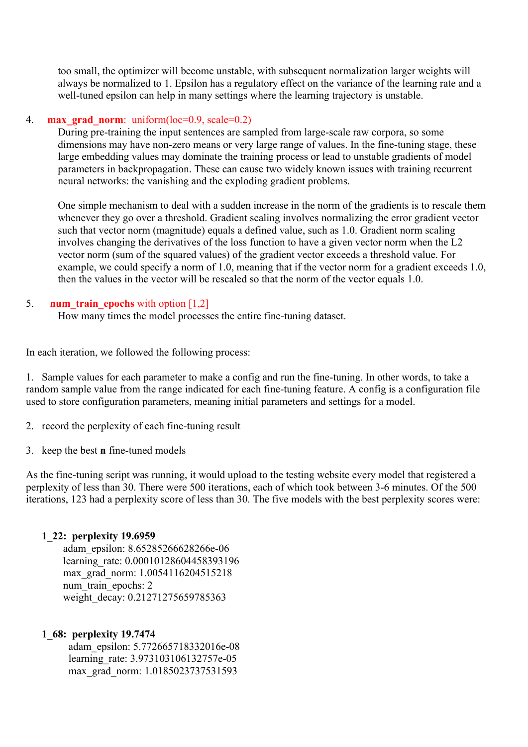too small, the optimizer will become unstable, with subsequent normalization larger weights will always be normalized to 1. Epsilon has a regulatory effect on the variance of the learning rate and a well-tuned epsilon can help in many settings where the learning trajectory is unstable.

#### 4. **max grad norm**: uniform(loc=0.9, scale=0.2)

During pre-training the input sentences are sampled from large-scale raw corpora, so some dimensions may have non-zero means or very large range of values. In the fine-tuning stage, these large embedding values may dominate the training process or lead to unstable gradients of model parameters in backpropagation. These can cause two widely known issues with training recurrent neural networks: the vanishing and the exploding gradient problems.

One simple mechanism to deal with a sudden increase in the norm of the gradients is to rescale them whenever they go over a threshold. Gradient scaling involves normalizing the error gradient vector such that vector norm (magnitude) equals a defined value, such as 1.0. Gradient norm scaling involves changing the derivatives of the loss function to have a given vector norm when the L2 vector norm (sum of the squared values) of the gradient vector exceeds a threshold value. For example, we could specify a norm of 1.0, meaning that if the vector norm for a gradient exceeds 1.0, then the values in the vector will be rescaled so that the norm of the vector equals 1.0.

#### 5. **num train epochs** with option [1,2]

How many times the model processes the entire fine-tuning dataset.

In each iteration, we followed the following process:

1. Sample values for each parameter to make a config and run the fine-tuning. In other words, to take a random sample value from the range indicated for each fine-tuning feature. A config is a configuration file used to store configuration parameters, meaning initial parameters and settings for a model.

- 2. record the perplexity of each fine-tuning result
- 3. keep the best **n** fine-tuned models

As the fine-tuning script was running, it would upload to the testing website every model that registered a perplexity of less than 30. There were 500 iterations, each of which took between 3-6 minutes. Of the 500 iterations, 123 had a perplexity score of less than 30. The five models with the best perplexity scores were:

#### **1\_22: perplexity 19.6959**

 adam\_epsilon: 8.65285266628266e-06 learning\_rate: 0.00010128604458393196 max\_grad\_norm: 1.0054116204515218 num train epochs: 2 weight\_decay: 0.21271275659785363

#### **1\_68: perplexity 19.7474**

 adam\_epsilon: 5.772665718332016e-08 learning rate: 3.973103106132757e-05 max\_grad\_norm: 1.0185023737531593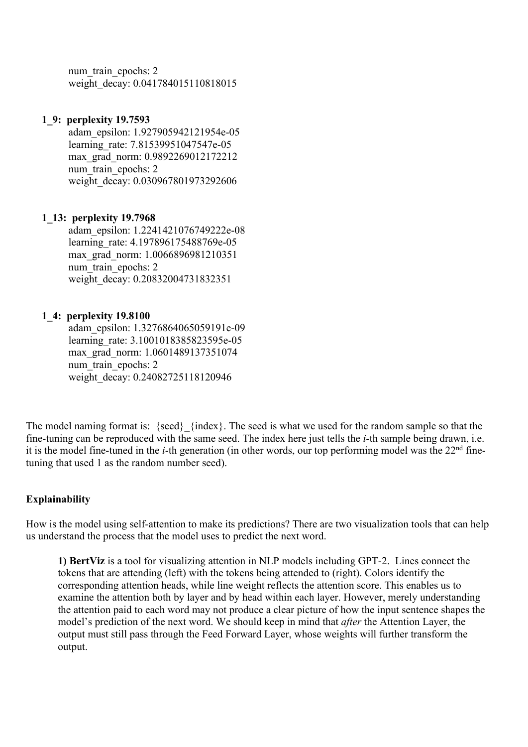num train epochs: 2 weight\_decay: 0.041784015110818015

#### **1\_9: perplexity 19.7593**

 adam\_epsilon: 1.927905942121954e-05 learning rate: 7.81539951047547e-05 max\_grad\_norm: 0.9892269012172212 num train epochs: 2 weight\_decay: 0.030967801973292606

### **1\_13: perplexity 19.7968**

 adam\_epsilon: 1.2241421076749222e-08 learning rate: 4.197896175488769e-05 max\_grad\_norm: 1.0066896981210351 num train epochs: 2 weight\_decay: 0.20832004731832351

### **1\_4: perplexity 19.8100**

 adam\_epsilon: 1.3276864065059191e-09 learning rate: 3.1001018385823595e-05 max\_grad\_norm: 1.0601489137351074 num\_train\_epochs: 2 weight\_decay: 0.24082725118120946

The model naming format is: {seed}\_{index}. The seed is what we used for the random sample so that the fine-tuning can be reproduced with the same seed. The index here just tells the *i-*th sample being drawn, i.e. it is the model fine-tuned in the *i*-th generation (in other words, our top performing model was the 22<sup>nd</sup> finetuning that used 1 as the random number seed).

### **Explainability**

How is the model using self-attention to make its predictions? There are two visualization tools that can help us understand the process that the model uses to predict the next word.

**1) BertViz** is a tool for visualizing attention in NLP models including GPT-2. Lines connect the tokens that are attending (left) with the tokens being attended to (right). Colors identify the corresponding attention heads, while line weight reflects the attention score. This enables us to examine the attention both by layer and by head within each layer. However, merely understanding the attention paid to each word may not produce a clear picture of how the input sentence shapes the model's prediction of the next word. We should keep in mind that *after* the Attention Layer, the output must still pass through the Feed Forward Layer, whose weights will further transform the output.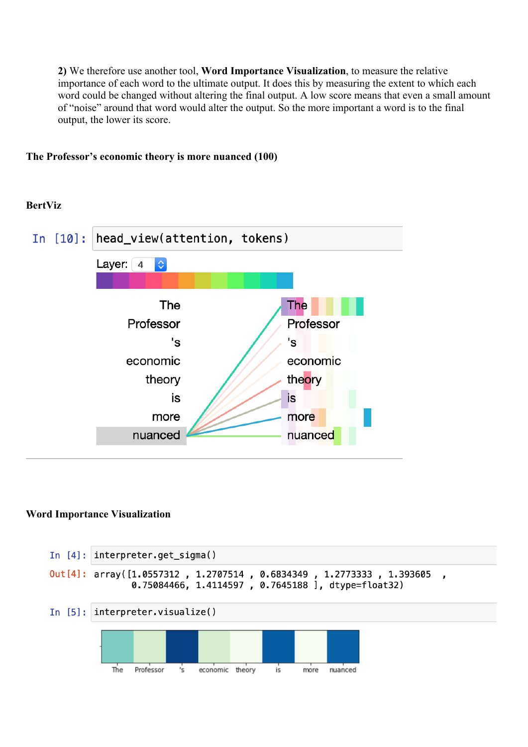**2)** We therefore use another tool, **Word Importance Visualization**, to measure the relative importance of each word to the ultimate output. It does this by measuring the extent to which each word could be changed without altering the final output. A low score means that even a small amount of "noise" around that word would alter the output. So the more important a word is to the final output, the lower its score.

**The Professor's economic theory is more nuanced (100)**

### **BertViz**



#### **Word Importance Visualization**

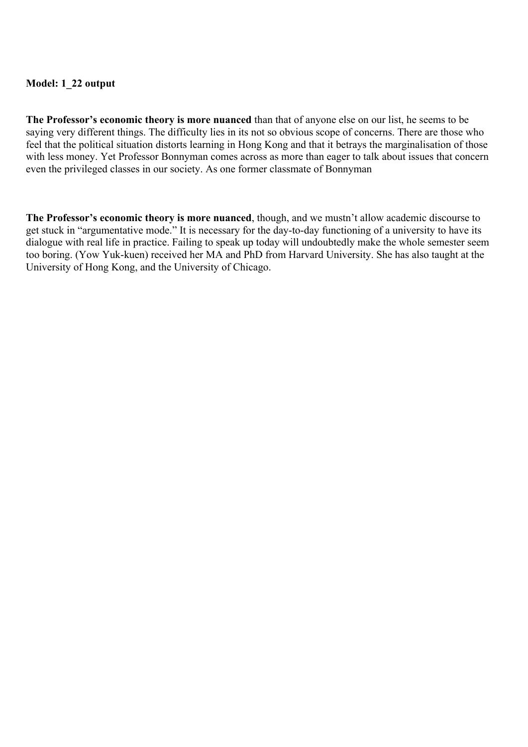### **Model: 1\_22 output**

**The Professor's economic theory is more nuanced** than that of anyone else on our list, he seems to be saying very different things. The difficulty lies in its not so obvious scope of concerns. There are those who feel that the political situation distorts learning in Hong Kong and that it betrays the marginalisation of those with less money. Yet Professor Bonnyman comes across as more than eager to talk about issues that concern even the privileged classes in our society. As one former classmate of Bonnyman

**The Professor's economic theory is more nuanced**, though, and we mustn't allow academic discourse to get stuck in "argumentative mode." It is necessary for the day-to-day functioning of a university to have its dialogue with real life in practice. Failing to speak up today will undoubtedly make the whole semester seem too boring. (Yow Yuk-kuen) received her MA and PhD from Harvard University. She has also taught at the University of Hong Kong, and the University of Chicago.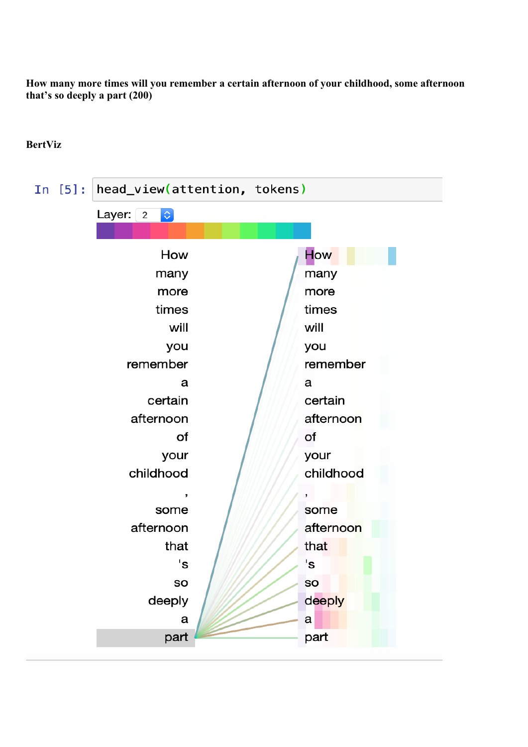**How many more times will you remember a certain afternoon of your childhood, some afternoon that's so deeply a part (200)**

#### In [5]: head\_view(attention, tokens) Layer:  $\boxed{2}$   $\Diamond$ **How** How many many more more times times will will you you remember remember a a certain certain afternoon afternoon of of your your childhood childhood ,  $\overline{\phantom{a}}$ some some afternoon afternoon that that 's 's SO **SO** deeply deeply  $\mathbf{a}$ a

part

part

## **BertViz**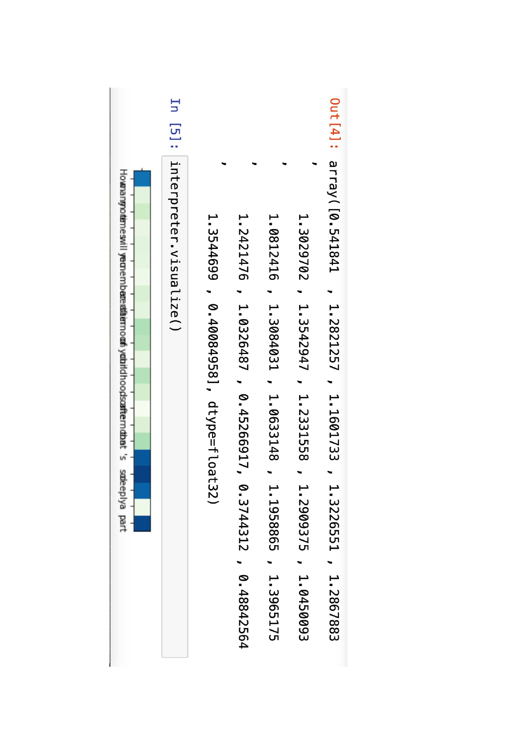|                                                                             | Ξq                             |                                          |                                                                 |                                                               |                                                               |                                                                             |
|-----------------------------------------------------------------------------|--------------------------------|------------------------------------------|-----------------------------------------------------------------|---------------------------------------------------------------|---------------------------------------------------------------|-----------------------------------------------------------------------------|
| Howangootenesvillyeonembaredfaernoom/yobidhoodscafternobbt's sodeeplya part | [5]: linterpreter, visualize() | 1.3544699<br>0.40084958], dtype=float32) | 1.2421476<br>1.0326487<br>0.45266917<br>0.3744312<br>0.48842564 | 1.0812416<br>1.3084031<br>1.0633148<br>1.1958865<br>1.3965175 | 1.3029702<br>1.3542947<br>1.2331558<br>1.2909375<br>1.0450003 | Out [4]: array([0.541841<br>1.2821227 , 1.1601733<br>1.3226551<br>1.2867883 |